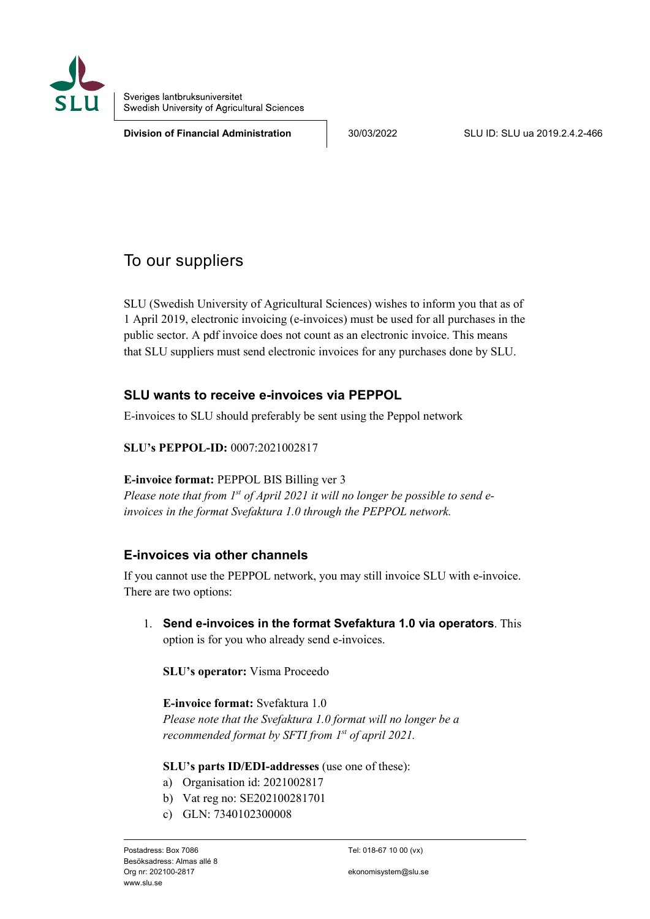

Sveriges lantbruksuniversitet Swedish University of Agricultural Sciences

**Division of Financial Administration**  $\vert$  30/03/2022 SLU ID: SLU ua 2019.2.4.2-466

# To our suppliers

SLU (Swedish University of Agricultural Sciences) wishes to inform you that as of 1 April 2019, electronic invoicing (e-invoices) must be used for all purchases in the public sector. A pdf invoice does not count as an electronic invoice. This means that SLU suppliers must send electronic invoices for any purchases done by SLU.

## **SLU wants to receive e-invoices via PEPPOL**

E-invoices to SLU should preferably be sent using the Peppol network

**SLU's PEPPOL-ID:** 0007:2021002817

### **E-invoice format:** PEPPOL BIS Billing ver 3

*Please note that from 1st of April 2021 it will no longer be possible to send einvoices in the format Svefaktura 1.0 through the PEPPOL network.*

## **E-invoices via other channels**

If you cannot use the PEPPOL network, you may still invoice SLU with e-invoice. There are two options:

1. **Send e-invoices in the format Svefaktura 1.0 via operators**. This option is for you who already send e-invoices.

**SLU's operator:** Visma Proceedo

### **E-invoice format:** Svefaktura 1.0

*Please note that the Svefaktura 1.0 format will no longer be a recommended format by SFTI from 1st of april 2021.*

### **SLU's parts ID/EDI-addresses** (use one of these):

- a) Organisation id: 2021002817
- b) Vat reg no: SE202100281701
- c) GLN: 7340102300008